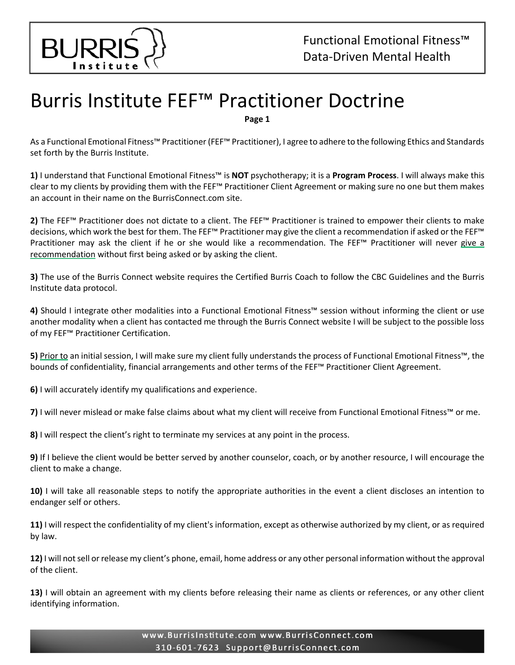

┃ ┃

## Burris Institute FEF™ Practitioner Doctrine

**Page 1**

As a Functional Emotional Fitness™ Practitioner(FEF™ Practitioner), I agree to adhere to the following Ethics and Standards set forth by the Burris Institute.

**1)** I understand that Functional Emotional Fitness™ is **NOT** psychotherapy; it is a **Program Process**. I will always make this clear to my clients by providing them with the FEF™ Practitioner Client Agreement or making sure no one but them makes an account in their name on the BurrisConnect.com site.

**2)** The FEF™ Practitioner does not dictate to a client. The FEF™ Practitioner is trained to empower their clients to make decisions, which work the best for them. The FEF™ Practitioner may give the client a recommendation if asked or the FEF™ Practitioner may ask the client if he or she would like a recommendation. The FEF<sup>™</sup> Practitioner will never give a recommendation without first being asked or by asking the client.

**3)** The use of the Burris Connect website requires the Certified Burris Coach to follow the CBC Guidelines and the Burris Institute data protocol.

**4)** Should I integrate other modalities into a Functional Emotional Fitness™ session without informing the client or use another modality when a client has contacted me through the Burris Connect website I will be subject to the possible loss of my FEF™ Practitioner Certification.

**5)** Prior to an initial session, I will make sure my client fully understands the process of Functional Emotional Fitness™, the bounds of confidentiality, financial arrangements and other terms of the FEF™ Practitioner Client Agreement.

**6)** I will accurately identify my qualifications and experience.

**7)** I will never mislead or make false claims about what my client will receive from Functional Emotional Fitness™ or me.

**8)** I will respect the client's right to terminate my services at any point in the process.

**9)** If I believe the client would be better served by another counselor, coach, or by another resource, I will encourage the client to make a change.

**10)** I will take all reasonable steps to notify the appropriate authorities in the event a client discloses an intention to endanger self or others.

**11)** I will respect the confidentiality of my client's information, except as otherwise authorized by my client, or as required by law.

**12)** I will not sell or release my client's phone, email, home address or any other personal information without the approval of the client.

**13)** I will obtain an agreement with my clients before releasing their name as clients or references, or any other client identifying information.

> www.BurrisInstitute.com www.BurrisConnect.com 310-601-7623 Support@BurrisConnect.com